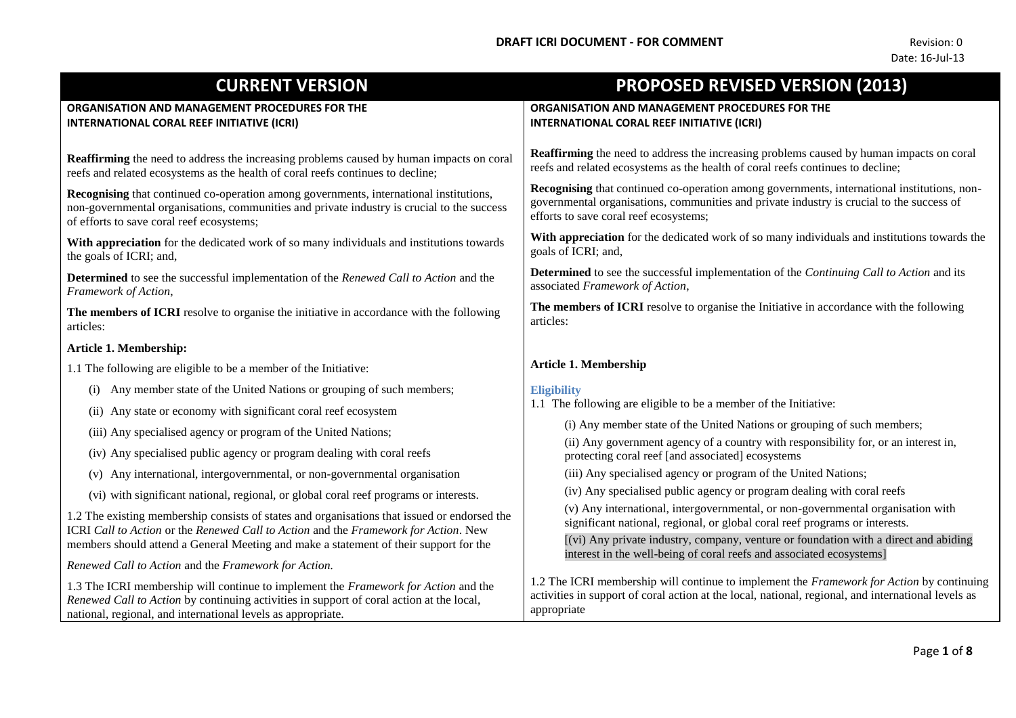| <b>CURRENT VERSION</b>                                                                                                                                                                                                                          | <b>PROPOSED REVISED VERSION (2013)</b>                                                                                                                                                                                             |
|-------------------------------------------------------------------------------------------------------------------------------------------------------------------------------------------------------------------------------------------------|------------------------------------------------------------------------------------------------------------------------------------------------------------------------------------------------------------------------------------|
| ORGANISATION AND MANAGEMENT PROCEDURES FOR THE<br>INTERNATIONAL CORAL REEF INITIATIVE (ICRI)                                                                                                                                                    | ORGANISATION AND MANAGEMENT PROCEDURES FOR THE<br>INTERNATIONAL CORAL REEF INITIATIVE (ICRI)                                                                                                                                       |
| <b>Reaffirming</b> the need to address the increasing problems caused by human impacts on coral<br>reefs and related ecosystems as the health of coral reefs continues to decline;                                                              | <b>Reaffirming</b> the need to address the increasing problems caused by human impacts on coral<br>reefs and related ecosystems as the health of coral reefs continues to decline;                                                 |
| <b>Recognising</b> that continued co-operation among governments, international institutions,<br>non-governmental organisations, communities and private industry is crucial to the success<br>of efforts to save coral reef ecosystems;        | Recognising that continued co-operation among governments, international institutions, non-<br>governmental organisations, communities and private industry is crucial to the success of<br>efforts to save coral reef ecosystems; |
| With appreciation for the dedicated work of so many individuals and institutions towards<br>the goals of ICRI; and,                                                                                                                             | With appreciation for the dedicated work of so many individuals and institutions towards the<br>goals of ICRI; and,                                                                                                                |
| <b>Determined</b> to see the successful implementation of the Renewed Call to Action and the<br>Framework of Action,                                                                                                                            | <b>Determined</b> to see the successful implementation of the <i>Continuing Call to Action</i> and its<br>associated Framework of Action,                                                                                          |
| The members of ICRI resolve to organise the initiative in accordance with the following<br>articles:                                                                                                                                            | The members of ICRI resolve to organise the Initiative in accordance with the following<br>articles:                                                                                                                               |
| Article 1. Membership:                                                                                                                                                                                                                          |                                                                                                                                                                                                                                    |
| 1.1 The following are eligible to be a member of the Initiative:                                                                                                                                                                                | <b>Article 1. Membership</b>                                                                                                                                                                                                       |
| Any member state of the United Nations or grouping of such members;<br>(i)                                                                                                                                                                      | <b>Eligibility</b>                                                                                                                                                                                                                 |
| (ii) Any state or economy with significant coral reef ecosystem                                                                                                                                                                                 | 1.1 The following are eligible to be a member of the Initiative:                                                                                                                                                                   |
| (iii) Any specialised agency or program of the United Nations;                                                                                                                                                                                  | (i) Any member state of the United Nations or grouping of such members;                                                                                                                                                            |
| (iv) Any specialised public agency or program dealing with coral reefs                                                                                                                                                                          | (ii) Any government agency of a country with responsibility for, or an interest in,<br>protecting coral reef [and associated] ecosystems                                                                                           |
| (v) Any international, intergovernmental, or non-governmental organisation                                                                                                                                                                      | (iii) Any specialised agency or program of the United Nations;                                                                                                                                                                     |
| (vi) with significant national, regional, or global coral reef programs or interests.                                                                                                                                                           | (iv) Any specialised public agency or program dealing with coral reefs                                                                                                                                                             |
| 1.2 The existing membership consists of states and organisations that issued or endorsed the<br>ICRI Call to Action or the Renewed Call to Action and the Framework for Action. New                                                             | (v) Any international, intergovernmental, or non-governmental organisation with<br>significant national, regional, or global coral reef programs or interests.                                                                     |
| members should attend a General Meeting and make a statement of their support for the                                                                                                                                                           | [(vi) Any private industry, company, venture or foundation with a direct and abiding<br>interest in the well-being of coral reefs and associated ecosystems]                                                                       |
| Renewed Call to Action and the Framework for Action.                                                                                                                                                                                            |                                                                                                                                                                                                                                    |
| 1.3 The ICRI membership will continue to implement the Framework for Action and the<br>Renewed Call to Action by continuing activities in support of coral action at the local,<br>national, regional, and international levels as appropriate. | 1.2 The ICRI membership will continue to implement the Framework for Action by continuing<br>activities in support of coral action at the local, national, regional, and international levels as<br>appropriate                    |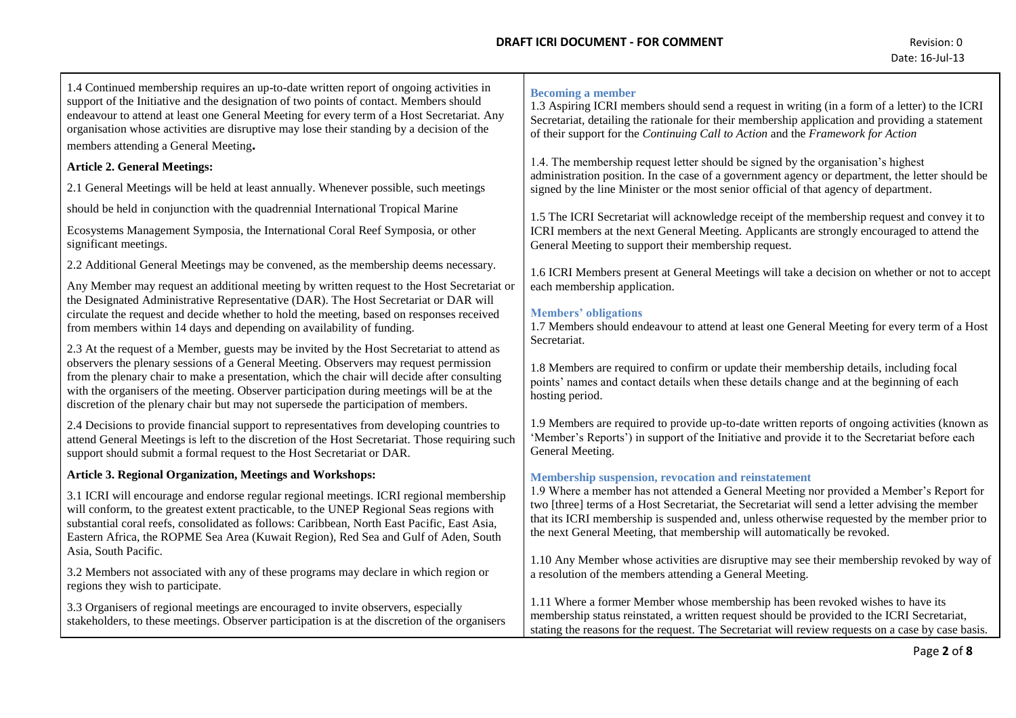# **DRAFT ICRI DOCUMENT - FOR COMMENT EXAMPLE 2008 12 ACCOMMENT 12 ACCOMMENT Revision: 0**

1.4 Continued membership requires an up-to-date written report of ongoing activities in support of the Initiative and the designation of two points of contact. Members should endeavour to attend at least one General Meeting for every term of a Host Secretariat. Any organisation whose activities are disruptive may lose their standing by a decision of the members attending a General Meeting**.**

### **Article 2. General Meetings:**

2.1 General Meetings will be held at least annually. Whenever possible, such meetings

should be held in conjunction with the quadrennial International Tropical Marine

Ecosystems Management Symposia, the International Coral Reef Symposia, or other significant meetings.

2.2 Additional General Meetings may be convened, as the membership deems necessary.

Any Member may request an additional meeting by written request to the Host Secretariat or the Designated Administrative Representative (DAR). The Host Secretariat or DAR will circulate the request and decide whether to hold the meeting, based on responses received from members within 14 days and depending on availability of funding.

2.3 At the request of a Member, guests may be invited by the Host Secretariat to attend as observers the plenary sessions of a General Meeting. Observers may request permission from the plenary chair to make a presentation, which the chair will decide after consulting with the organisers of the meeting. Observer participation during meetings will be at the discretion of the plenary chair but may not supersede the participation of members.

2.4 Decisions to provide financial support to representatives from developing countries to attend General Meetings is left to the discretion of the Host Secretariat. Those requiring such support should submit a formal request to the Host Secretariat or DAR.

# **Article 3. Regional Organization, Meetings and Workshops:**

3.1 ICRI will encourage and endorse regular regional meetings. ICRI regional membership will conform, to the greatest extent practicable, to the UNEP Regional Seas regions with substantial coral reefs, consolidated as follows: Caribbean, North East Pacific, East Asia, Eastern Africa, the ROPME Sea Area (Kuwait Region), Red Sea and Gulf of Aden, South Asia, South Pacific.

3.2 Members not associated with any of these programs may declare in which region or regions they wish to participate.

3.3 Organisers of regional meetings are encouraged to invite observers, especially stakeholders, to these meetings. Observer participation is at the discretion of the organisers

### **Becoming a member**

1.3 Aspiring ICRI members should send a request in writing (in a form of a letter) to the ICRI Secretariat, detailing the rationale for their membership application and providing a statement of their support for the *Continuing Call to Action* and the *Framework for Action*

1.4. The membership request letter should be signed by the organisation's highest administration position. In the case of a government agency or department, the letter should be signed by the line Minister or the most senior official of that agency of department.

1.5 The ICRI Secretariat will acknowledge receipt of the membership request and convey it to ICRI members at the next General Meeting. Applicants are strongly encouraged to attend the General Meeting to support their membership request.

1.6 ICRI Members present at General Meetings will take a decision on whether or not to accept each membership application.

#### **Members' obligations**

1.7 Members should endeavour to attend at least one General Meeting for every term of a Host Secretariat.

1.8 Members are required to confirm or update their membership details, including focal points' names and contact details when these details change and at the beginning of each hosting period.

1.9 Members are required to provide up-to-date written reports of ongoing activities (known as 'Member's Reports') in support of the Initiative and provide it to the Secretariat before each General Meeting.

#### **Membership suspension, revocation and reinstatement**

1.9 Where a member has not attended a General Meeting nor provided a Member's Report for two [three] terms of a Host Secretariat, the Secretariat will send a letter advising the member that its ICRI membership is suspended and, unless otherwise requested by the member prior to the next General Meeting, that membership will automatically be revoked.

1.10 Any Member whose activities are disruptive may see their membership revoked by way of a resolution of the members attending a General Meeting.

1.11 Where a former Member whose membership has been revoked wishes to have its membership status reinstated, a written request should be provided to the ICRI Secretariat, stating the reasons for the request. The Secretariat will review requests on a case by case basis.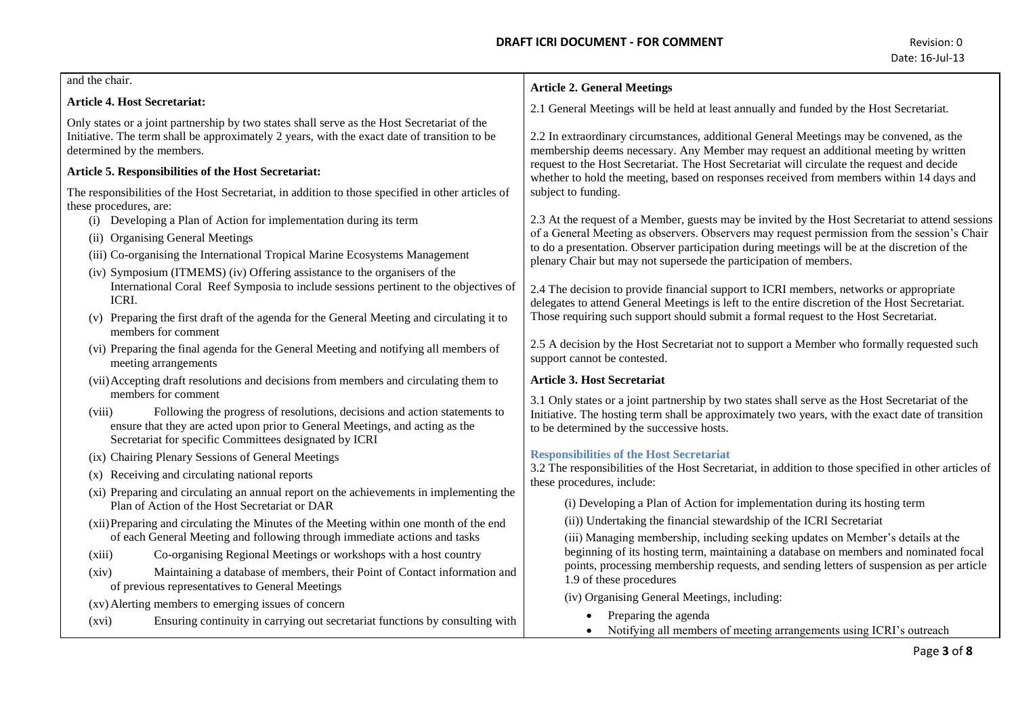| and the chair.                                                                                                                                                                                                                                                                                 | <b>Article 2. General Meetings</b>                                                                                                                                                                                                                                                                                                                                        |
|------------------------------------------------------------------------------------------------------------------------------------------------------------------------------------------------------------------------------------------------------------------------------------------------|---------------------------------------------------------------------------------------------------------------------------------------------------------------------------------------------------------------------------------------------------------------------------------------------------------------------------------------------------------------------------|
| Article 4. Host Secretariat:                                                                                                                                                                                                                                                                   | 2.1 General Meetings will be held at least annually and funded by the Host Secretariat.                                                                                                                                                                                                                                                                                   |
| Only states or a joint partnership by two states shall serve as the Host Secretariat of the<br>Initiative. The term shall be approximately 2 years, with the exact date of transition to be<br>determined by the members.                                                                      | 2.2 In extraordinary circumstances, additional General Meetings may be convened, as the<br>membership deems necessary. Any Member may request an additional meeting by written<br>request to the Host Secretariat. The Host Secretariat will circulate the request and decide<br>whether to hold the meeting, based on responses received from members within 14 days and |
| Article 5. Responsibilities of the Host Secretariat:                                                                                                                                                                                                                                           |                                                                                                                                                                                                                                                                                                                                                                           |
| The responsibilities of the Host Secretariat, in addition to those specified in other articles of<br>these procedures, are:                                                                                                                                                                    | subject to funding.                                                                                                                                                                                                                                                                                                                                                       |
| (i) Developing a Plan of Action for implementation during its term                                                                                                                                                                                                                             | 2.3 At the request of a Member, guests may be invited by the Host Secretariat to attend sessions                                                                                                                                                                                                                                                                          |
| (ii) Organising General Meetings                                                                                                                                                                                                                                                               | of a General Meeting as observers. Observers may request permission from the session's Chair<br>to do a presentation. Observer participation during meetings will be at the discretion of the                                                                                                                                                                             |
| (iii) Co-organising the International Tropical Marine Ecosystems Management                                                                                                                                                                                                                    | plenary Chair but may not supersede the participation of members.                                                                                                                                                                                                                                                                                                         |
| (iv) Symposium (ITMEMS) (iv) Offering assistance to the organisers of the<br>International Coral Reef Symposia to include sessions pertinent to the objectives of<br>ICRI.<br>(v) Preparing the first draft of the agenda for the General Meeting and circulating it to<br>members for comment | 2.4 The decision to provide financial support to ICRI members, networks or appropriate<br>delegates to attend General Meetings is left to the entire discretion of the Host Secretariat.<br>Those requiring such support should submit a formal request to the Host Secretariat.                                                                                          |
| (vi) Preparing the final agenda for the General Meeting and notifying all members of<br>meeting arrangements                                                                                                                                                                                   | 2.5 A decision by the Host Secretariat not to support a Member who formally requested such<br>support cannot be contested.                                                                                                                                                                                                                                                |
| (vii) Accepting draft resolutions and decisions from members and circulating them to<br>members for comment                                                                                                                                                                                    | <b>Article 3. Host Secretariat</b>                                                                                                                                                                                                                                                                                                                                        |
| Following the progress of resolutions, decisions and action statements to<br>(viii)<br>ensure that they are acted upon prior to General Meetings, and acting as the<br>Secretariat for specific Committees designated by ICRI                                                                  | 3.1 Only states or a joint partnership by two states shall serve as the Host Secretariat of the<br>Initiative. The hosting term shall be approximately two years, with the exact date of transition<br>to be determined by the successive hosts.                                                                                                                          |
| (ix) Chairing Plenary Sessions of General Meetings                                                                                                                                                                                                                                             | <b>Responsibilities of the Host Secretariat</b>                                                                                                                                                                                                                                                                                                                           |
| (x) Receiving and circulating national reports                                                                                                                                                                                                                                                 | 3.2 The responsibilities of the Host Secretariat, in addition to those specified in other articles of                                                                                                                                                                                                                                                                     |
| (xi) Preparing and circulating an annual report on the achievements in implementing the<br>Plan of Action of the Host Secretariat or DAR                                                                                                                                                       | these procedures, include:<br>(i) Developing a Plan of Action for implementation during its hosting term                                                                                                                                                                                                                                                                  |
| (xii) Preparing and circulating the Minutes of the Meeting within one month of the end                                                                                                                                                                                                         | (ii)) Undertaking the financial stewardship of the ICRI Secretariat                                                                                                                                                                                                                                                                                                       |
| of each General Meeting and following through immediate actions and tasks                                                                                                                                                                                                                      | (iii) Managing membership, including seeking updates on Member's details at the<br>beginning of its hosting term, maintaining a database on members and nominated focal<br>points, processing membership requests, and sending letters of suspension as per article                                                                                                       |
| Co-organising Regional Meetings or workshops with a host country<br>(xiii)                                                                                                                                                                                                                     |                                                                                                                                                                                                                                                                                                                                                                           |
| Maintaining a database of members, their Point of Contact information and<br>(xiv)<br>of previous representatives to General Meetings                                                                                                                                                          | 1.9 of these procedures                                                                                                                                                                                                                                                                                                                                                   |
| (xv) Alerting members to emerging issues of concern                                                                                                                                                                                                                                            | (iv) Organising General Meetings, including:                                                                                                                                                                                                                                                                                                                              |
| Ensuring continuity in carrying out secretariat functions by consulting with<br>(xvi)                                                                                                                                                                                                          | Preparing the agenda<br>Notifying all members of meeting arrangements using ICRI's outreach                                                                                                                                                                                                                                                                               |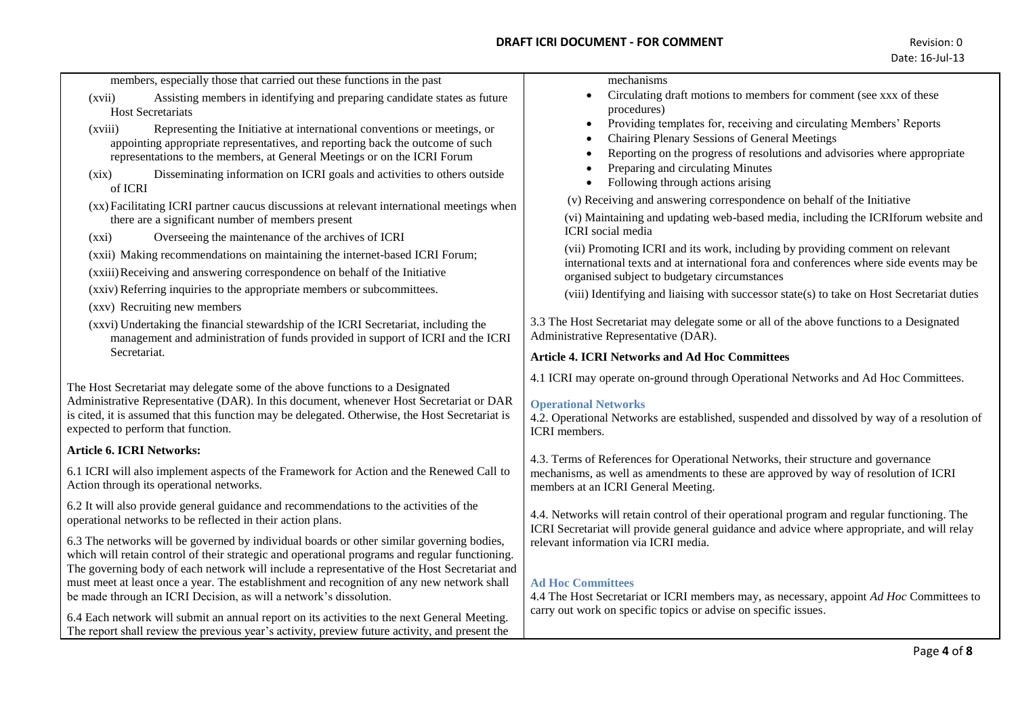| members, especially those that carried out these functions in the past<br>Assisting members in identifying and preparing candidate states as future<br>(xvii)<br><b>Host Secretariats</b><br>(xviii)<br>Representing the Initiative at international conventions or meetings, or<br>appointing appropriate representatives, and reporting back the outcome of such<br>representations to the members, at General Meetings or on the ICRI Forum<br>Disseminating information on ICRI goals and activities to others outside<br>(xix)<br>of ICRI<br>(xx) Facilitating ICRI partner caucus discussions at relevant international meetings when<br>there are a significant number of members present<br>Overseeing the maintenance of the archives of ICRI<br>(xxi)<br>(xxii) Making recommendations on maintaining the internet-based ICRI Forum;<br>(xxiii) Receiving and answering correspondence on behalf of the Initiative<br>(xxiv) Referring inquiries to the appropriate members or subcommittees.<br>(xxv) Recruiting new members<br>(xxvi) Undertaking the financial stewardship of the ICRI Secretariat, including the<br>management and administration of funds provided in support of ICRI and the ICRI | mechanisms<br>Circulating draft motions to members for comment (see xxx of these<br>procedures)<br>Providing templates for, receiving and circulating Members' Reports<br>$\bullet$<br>Chairing Plenary Sessions of General Meetings<br>Reporting on the progress of resolutions and advisories where appropriate<br>Preparing and circulating Minutes<br>Following through actions arising<br>(v) Receiving and answering correspondence on behalf of the Initiative<br>(vi) Maintaining and updating web-based media, including the ICRIforum website and<br><b>ICRI</b> social media<br>(vii) Promoting ICRI and its work, including by providing comment on relevant<br>international texts and at international fora and conferences where side events may be<br>organised subject to budgetary circumstances<br>(viii) Identifying and liaising with successor state(s) to take on Host Secretariat duties<br>3.3 The Host Secretariat may delegate some or all of the above functions to a Designated<br>Administrative Representative (DAR). |
|-------------------------------------------------------------------------------------------------------------------------------------------------------------------------------------------------------------------------------------------------------------------------------------------------------------------------------------------------------------------------------------------------------------------------------------------------------------------------------------------------------------------------------------------------------------------------------------------------------------------------------------------------------------------------------------------------------------------------------------------------------------------------------------------------------------------------------------------------------------------------------------------------------------------------------------------------------------------------------------------------------------------------------------------------------------------------------------------------------------------------------------------------------------------------------------------------------------------|------------------------------------------------------------------------------------------------------------------------------------------------------------------------------------------------------------------------------------------------------------------------------------------------------------------------------------------------------------------------------------------------------------------------------------------------------------------------------------------------------------------------------------------------------------------------------------------------------------------------------------------------------------------------------------------------------------------------------------------------------------------------------------------------------------------------------------------------------------------------------------------------------------------------------------------------------------------------------------------------------------------------------------------------------|
| Secretariat.                                                                                                                                                                                                                                                                                                                                                                                                                                                                                                                                                                                                                                                                                                                                                                                                                                                                                                                                                                                                                                                                                                                                                                                                      | <b>Article 4. ICRI Networks and Ad Hoc Committees</b>                                                                                                                                                                                                                                                                                                                                                                                                                                                                                                                                                                                                                                                                                                                                                                                                                                                                                                                                                                                                |
| The Host Secretariat may delegate some of the above functions to a Designated<br>Administrative Representative (DAR). In this document, whenever Host Secretariat or DAR<br>is cited, it is assumed that this function may be delegated. Otherwise, the Host Secretariat is<br>expected to perform that function.                                                                                                                                                                                                                                                                                                                                                                                                                                                                                                                                                                                                                                                                                                                                                                                                                                                                                                 | 4.1 ICRI may operate on-ground through Operational Networks and Ad Hoc Committees.<br><b>Operational Networks</b><br>4.2. Operational Networks are established, suspended and dissolved by way of a resolution of<br>ICRI members.                                                                                                                                                                                                                                                                                                                                                                                                                                                                                                                                                                                                                                                                                                                                                                                                                   |
| <b>Article 6. ICRI Networks:</b>                                                                                                                                                                                                                                                                                                                                                                                                                                                                                                                                                                                                                                                                                                                                                                                                                                                                                                                                                                                                                                                                                                                                                                                  |                                                                                                                                                                                                                                                                                                                                                                                                                                                                                                                                                                                                                                                                                                                                                                                                                                                                                                                                                                                                                                                      |
| 6.1 ICRI will also implement aspects of the Framework for Action and the Renewed Call to<br>Action through its operational networks.                                                                                                                                                                                                                                                                                                                                                                                                                                                                                                                                                                                                                                                                                                                                                                                                                                                                                                                                                                                                                                                                              | 4.3. Terms of References for Operational Networks, their structure and governance<br>mechanisms, as well as amendments to these are approved by way of resolution of ICRI<br>members at an ICRI General Meeting.                                                                                                                                                                                                                                                                                                                                                                                                                                                                                                                                                                                                                                                                                                                                                                                                                                     |
| 6.2 It will also provide general guidance and recommendations to the activities of the<br>operational networks to be reflected in their action plans.                                                                                                                                                                                                                                                                                                                                                                                                                                                                                                                                                                                                                                                                                                                                                                                                                                                                                                                                                                                                                                                             | 4.4. Networks will retain control of their operational program and regular functioning. The<br>ICRI Secretariat will provide general guidance and advice where appropriate, and will relay                                                                                                                                                                                                                                                                                                                                                                                                                                                                                                                                                                                                                                                                                                                                                                                                                                                           |
| 6.3 The networks will be governed by individual boards or other similar governing bodies,<br>which will retain control of their strategic and operational programs and regular functioning.<br>The governing body of each network will include a representative of the Host Secretariat and<br>must meet at least once a year. The establishment and recognition of any new network shall<br>be made through an ICRI Decision, as will a network's dissolution.<br>6.4 Each network will submit an annual report on its activities to the next General Meeting.<br>The report shall review the previous year's activity, preview future activity, and present the                                                                                                                                                                                                                                                                                                                                                                                                                                                                                                                                                 | relevant information via ICRI media.<br><b>Ad Hoc Committees</b><br>4.4 The Host Secretariat or ICRI members may, as necessary, appoint Ad Hoc Committees to<br>carry out work on specific topics or advise on specific issues.                                                                                                                                                                                                                                                                                                                                                                                                                                                                                                                                                                                                                                                                                                                                                                                                                      |
|                                                                                                                                                                                                                                                                                                                                                                                                                                                                                                                                                                                                                                                                                                                                                                                                                                                                                                                                                                                                                                                                                                                                                                                                                   | Page 4 of 8                                                                                                                                                                                                                                                                                                                                                                                                                                                                                                                                                                                                                                                                                                                                                                                                                                                                                                                                                                                                                                          |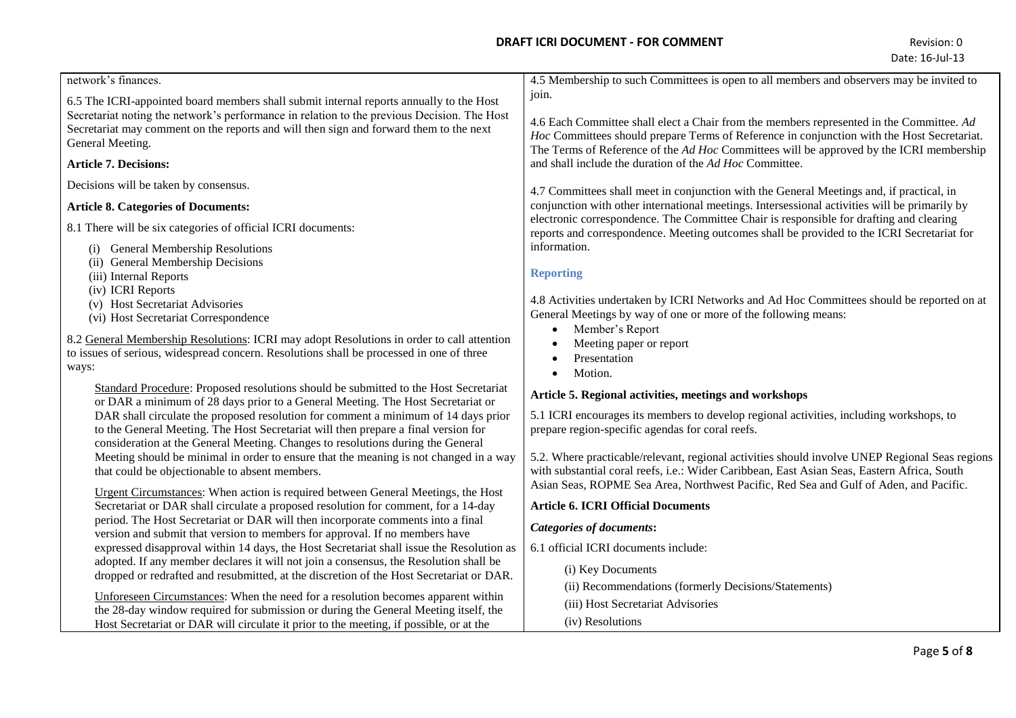| network's finances.                                                                                                                                                                    | 4.5 Membership to such Committees is open to all members and observers may be invited to                                                                                                                                                                                                                                                     |
|----------------------------------------------------------------------------------------------------------------------------------------------------------------------------------------|----------------------------------------------------------------------------------------------------------------------------------------------------------------------------------------------------------------------------------------------------------------------------------------------------------------------------------------------|
| 6.5 The ICRI-appointed board members shall submit internal reports annually to the Host<br>Secretariat noting the network's performance in relation to the previous Decision. The Host | join.                                                                                                                                                                                                                                                                                                                                        |
| Secretariat may comment on the reports and will then sign and forward them to the next<br>General Meeting.                                                                             | 4.6 Each Committee shall elect a Chair from the members represented in the Committee. Ad<br>Hoc Committees should prepare Terms of Reference in conjunction with the Host Secretariat.<br>The Terms of Reference of the Ad Hoc Committees will be approved by the ICRI membership<br>and shall include the duration of the Ad Hoc Committee. |
| <b>Article 7. Decisions:</b>                                                                                                                                                           |                                                                                                                                                                                                                                                                                                                                              |
| Decisions will be taken by consensus.                                                                                                                                                  | 4.7 Committees shall meet in conjunction with the General Meetings and, if practical, in                                                                                                                                                                                                                                                     |
| <b>Article 8. Categories of Documents:</b>                                                                                                                                             | conjunction with other international meetings. Intersessional activities will be primarily by                                                                                                                                                                                                                                                |
| 8.1 There will be six categories of official ICRI documents:                                                                                                                           | electronic correspondence. The Committee Chair is responsible for drafting and clearing<br>reports and correspondence. Meeting outcomes shall be provided to the ICRI Secretariat for                                                                                                                                                        |
| (i) General Membership Resolutions                                                                                                                                                     | information.                                                                                                                                                                                                                                                                                                                                 |
| (ii) General Membership Decisions<br>(iii) Internal Reports                                                                                                                            | <b>Reporting</b>                                                                                                                                                                                                                                                                                                                             |
| (iv) ICRI Reports                                                                                                                                                                      |                                                                                                                                                                                                                                                                                                                                              |
| (v) Host Secretariat Advisories                                                                                                                                                        | 4.8 Activities undertaken by ICRI Networks and Ad Hoc Committees should be reported on at<br>General Meetings by way of one or more of the following means:                                                                                                                                                                                  |
| (vi) Host Secretariat Correspondence                                                                                                                                                   | Member's Report<br>$\bullet$                                                                                                                                                                                                                                                                                                                 |
| 8.2 General Membership Resolutions: ICRI may adopt Resolutions in order to call attention<br>to issues of serious, widespread concern. Resolutions shall be processed in one of three  | Meeting paper or report                                                                                                                                                                                                                                                                                                                      |
| ways:                                                                                                                                                                                  | Presentation<br>Motion.<br>$\bullet$                                                                                                                                                                                                                                                                                                         |
| Standard Procedure: Proposed resolutions should be submitted to the Host Secretariat                                                                                                   | Article 5. Regional activities, meetings and workshops                                                                                                                                                                                                                                                                                       |
| or DAR a minimum of 28 days prior to a General Meeting. The Host Secretariat or<br>DAR shall circulate the proposed resolution for comment a minimum of 14 days prior                  | 5.1 ICRI encourages its members to develop regional activities, including workshops, to                                                                                                                                                                                                                                                      |
| to the General Meeting. The Host Secretariat will then prepare a final version for                                                                                                     | prepare region-specific agendas for coral reefs.                                                                                                                                                                                                                                                                                             |
| consideration at the General Meeting. Changes to resolutions during the General<br>Meeting should be minimal in order to ensure that the meaning is not changed in a way               | 5.2. Where practicable/relevant, regional activities should involve UNEP Regional Seas regions                                                                                                                                                                                                                                               |
| that could be objectionable to absent members.                                                                                                                                         | with substantial coral reefs, i.e.: Wider Caribbean, East Asian Seas, Eastern Africa, South                                                                                                                                                                                                                                                  |
| Urgent Circumstances: When action is required between General Meetings, the Host                                                                                                       | Asian Seas, ROPME Sea Area, Northwest Pacific, Red Sea and Gulf of Aden, and Pacific.                                                                                                                                                                                                                                                        |
| Secretariat or DAR shall circulate a proposed resolution for comment, for a 14-day                                                                                                     | <b>Article 6. ICRI Official Documents</b>                                                                                                                                                                                                                                                                                                    |
| period. The Host Secretariat or DAR will then incorporate comments into a final<br>version and submit that version to members for approval. If no members have                         | <b>Categories of documents:</b>                                                                                                                                                                                                                                                                                                              |
| expressed disapproval within 14 days, the Host Secretariat shall issue the Resolution as                                                                                               | 6.1 official ICRI documents include:                                                                                                                                                                                                                                                                                                         |
| adopted. If any member declares it will not join a consensus, the Resolution shall be<br>dropped or redrafted and resubmitted, at the discretion of the Host Secretariat or DAR.       | (i) Key Documents                                                                                                                                                                                                                                                                                                                            |
| Unforeseen Circumstances: When the need for a resolution becomes apparent within                                                                                                       | (ii) Recommendations (formerly Decisions/Statements)                                                                                                                                                                                                                                                                                         |
| the 28-day window required for submission or during the General Meeting itself, the                                                                                                    | (iii) Host Secretariat Advisories                                                                                                                                                                                                                                                                                                            |
| Host Secretariat or DAR will circulate it prior to the meeting, if possible, or at the                                                                                                 | (iv) Resolutions                                                                                                                                                                                                                                                                                                                             |
|                                                                                                                                                                                        |                                                                                                                                                                                                                                                                                                                                              |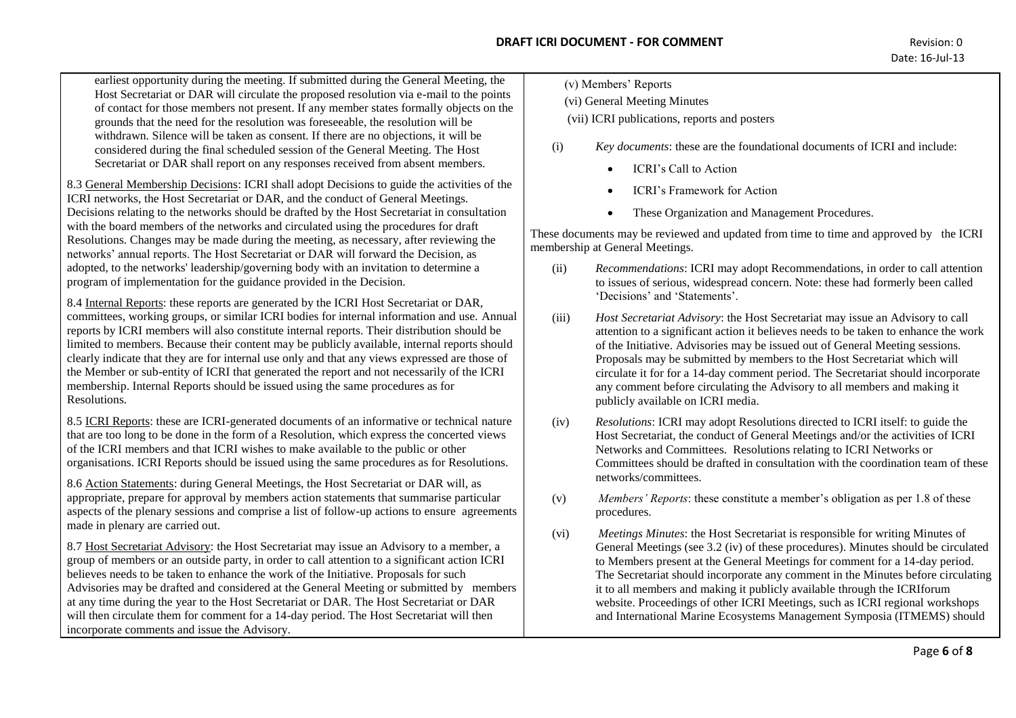earliest opportunity during the meeting. If submitted during the General Meeting, the Host Secretariat or DAR will circulate the proposed resolution via e-mail to the points of contact for those members not present. If any member states formally objects on the grounds that the need for the resolution was foreseeable, the resolution will be withdrawn. Silence will be taken as consent. If there are no objections, it will be considered during the final scheduled session of the General Meeting. The Host Secretariat or DAR shall report on any responses received from absent members.

8.3 General Membership Decisions: ICRI shall adopt Decisions to guide the activities of the ICRI networks, the Host Secretariat or DAR, and the conduct of General Meetings. Decisions relating to the networks should be drafted by the Host Secretariat in consultation with the board members of the networks and circulated using the procedures for draft Resolutions. Changes may be made during the meeting, as necessary, after reviewing the networks' annual reports. The Host Secretariat or DAR will forward the Decision, as adopted, to the networks' leadership/governing body with an invitation to determine a program of implementation for the guidance provided in the Decision.

8.4 Internal Reports: these reports are generated by the ICRI Host Secretariat or DAR, committees, working groups, or similar ICRI bodies for internal information and use. Annual reports by ICRI members will also constitute internal reports. Their distribution should be limited to members. Because their content may be publicly available, internal reports should clearly indicate that they are for internal use only and that any views expressed are those of the Member or sub-entity of ICRI that generated the report and not necessarily of the ICRI membership. Internal Reports should be issued using the same procedures as for Resolutions.

8.5 ICRI Reports: these are ICRI-generated documents of an informative or technical nature that are too long to be done in the form of a Resolution, which express the concerted views of the ICRI members and that ICRI wishes to make available to the public or other organisations. ICRI Reports should be issued using the same procedures as for Resolutions.

8.6 Action Statements: during General Meetings, the Host Secretariat or DAR will, as appropriate, prepare for approval by members action statements that summarise particular aspects of the plenary sessions and comprise a list of follow-up actions to ensure agreements made in plenary are carried out.

8.7 Host Secretariat Advisory: the Host Secretariat may issue an Advisory to a member, a group of members or an outside party, in order to call attention to a significant action ICRI believes needs to be taken to enhance the work of the Initiative. Proposals for such Advisories may be drafted and considered at the General Meeting or submitted by members at any time during the year to the Host Secretariat or DAR. The Host Secretariat or DAR will then circulate them for comment for a 14-day period. The Host Secretariat will then incorporate comments and issue the Advisory.

- (v) Members' Reports
- (vi) General Meeting Minutes
- (vii) ICRI publications, reports and posters
- (i) *Key documents*: these are the foundational documents of ICRI and include:
	- ICRI's Call to Action
	- ICRI's Framework for Action
	- These Organization and Management Procedures.

These documents may be reviewed and updated from time to time and approved by the ICRI membership at General Meetings.

- (ii) *Recommendations*: ICRI may adopt Recommendations, in order to call attention to issues of serious, widespread concern. Note: these had formerly been called 'Decisions' and 'Statements'.
- (iii) *Host Secretariat Advisory*: the Host Secretariat may issue an Advisory to call attention to a significant action it believes needs to be taken to enhance the work of the Initiative. Advisories may be issued out of General Meeting sessions. Proposals may be submitted by members to the Host Secretariat which will circulate it for for a 14-day comment period. The Secretariat should incorporate any comment before circulating the Advisory to all members and making it publicly available on ICRI media.
- (iv) *Resolutions*: ICRI may adopt Resolutions directed to ICRI itself: to guide the Host Secretariat, the conduct of General Meetings and/or the activities of ICRI Networks and Committees. Resolutions relating to ICRI Networks or Committees should be drafted in consultation with the coordination team of these networks/committees.
- (v) *Members' Reports*: these constitute a member's obligation as per 1.8 of these procedures.
- (vi) *Meetings Minutes*: the Host Secretariat is responsible for writing Minutes of General Meetings (see 3.2 (iv) of these procedures). Minutes should be circulated to Members present at the General Meetings for comment for a 14-day period. The Secretariat should incorporate any comment in the Minutes before circulating it to all members and making it publicly available through the ICRIforum website. Proceedings of other ICRI Meetings, such as ICRI regional workshops and International Marine Ecosystems Management Symposia (ITMEMS) should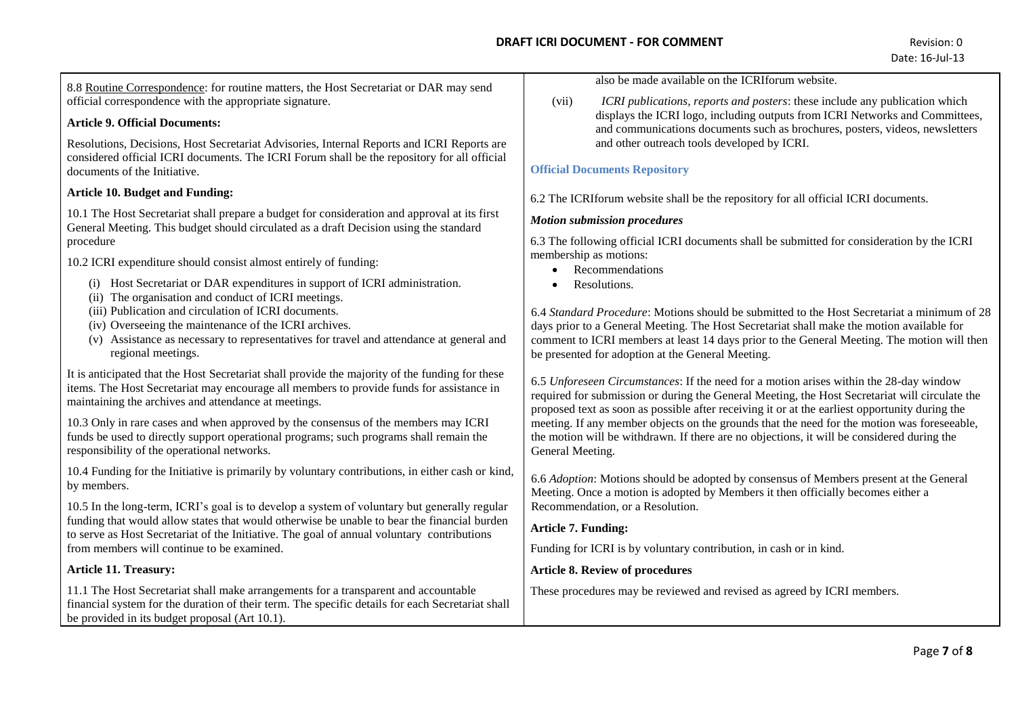8.8 Routine Correspondence: for routine matters, the Host Secretariat or DAR may send official correspondence with the appropriate signature.

### **Article 9. Official Documents:**

Resolutions, Decisions, Host Secretariat Advisories, Internal Reports and ICRI Reports are considered official ICRI documents. The ICRI Forum shall be the repository for all official documents of the Initiative.

### **Article 10. Budget and Funding:**

10.1 The Host Secretariat shall prepare a budget for consideration and approval at its first General Meeting. This budget should circulated as a draft Decision using the standard procedure

10.2 ICRI expenditure should consist almost entirely of funding:

- (i) Host Secretariat or DAR expenditures in support of ICRI administration.
- (ii) The organisation and conduct of ICRI meetings.
- (iii) Publication and circulation of ICRI documents.
- (iv) Overseeing the maintenance of the ICRI archives.
- (v) Assistance as necessary to representatives for travel and attendance at general and regional meetings.

It is anticipated that the Host Secretariat shall provide the majority of the funding for these items. The Host Secretariat may encourage all members to provide funds for assistance in maintaining the archives and attendance at meetings.

10.3 Only in rare cases and when approved by the consensus of the members may ICRI funds be used to directly support operational programs; such programs shall remain the responsibility of the operational networks.

10.4 Funding for the Initiative is primarily by voluntary contributions, in either cash or kind, by members.

10.5 In the long-term, ICRI's goal is to develop a system of voluntary but generally regular funding that would allow states that would otherwise be unable to bear the financial burden to serve as Host Secretariat of the Initiative. The goal of annual voluntary contributions from members will continue to be examined.

# **Article 11. Treasury:**

11.1 The Host Secretariat shall make arrangements for a transparent and accountable financial system for the duration of their term. The specific details for each Secretariat shall be provided in its budget proposal (Art 10.1).

also be made available on the ICRIforum website.

(vii) *ICRI publications, reports and posters*: these include any publication which displays the ICRI logo, including outputs from ICRI Networks and Committees, and communications documents such as brochures, posters, videos, newsletters and other outreach tools developed by ICRI.

# **Official Documents Repository**

6.2 The ICRIforum website shall be the repository for all official ICRI documents.

### *Motion submission procedures*

6.3 The following official ICRI documents shall be submitted for consideration by the ICRI membership as motions:

- Recommendations
- Resolutions

6.4 *Standard Procedure*: Motions should be submitted to the Host Secretariat a minimum of 28 days prior to a General Meeting. The Host Secretariat shall make the motion available for comment to ICRI members at least 14 days prior to the General Meeting. The motion will then be presented for adoption at the General Meeting.

6.5 *Unforeseen Circumstances*: If the need for a motion arises within the 28-day window required for submission or during the General Meeting, the Host Secretariat will circulate the proposed text as soon as possible after receiving it or at the earliest opportunity during the meeting. If any member objects on the grounds that the need for the motion was foreseeable, the motion will be withdrawn. If there are no objections, it will be considered during the General Meeting.

6.6 *Adoption*: Motions should be adopted by consensus of Members present at the General Meeting. Once a motion is adopted by Members it then officially becomes either a Recommendation, or a Resolution.

# **Article 7. Funding:**

Funding for ICRI is by voluntary contribution, in cash or in kind.

# **Article 8. Review of procedures**

These procedures may be reviewed and revised as agreed by ICRI members.